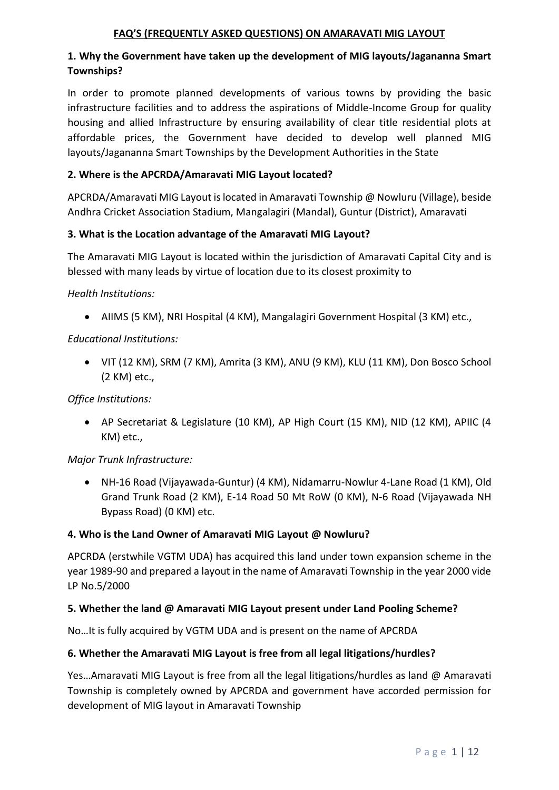#### **FAQ'S (FREQUENTLY ASKED QUESTIONS) ON AMARAVATI MIG LAYOUT**

### **1. Why the Government have taken up the development of MIG layouts/Jagananna Smart Townships?**

In order to promote planned developments of various towns by providing the basic infrastructure facilities and to address the aspirations of Middle-Income Group for quality housing and allied Infrastructure by ensuring availability of clear title residential plots at affordable prices, the Government have decided to develop well planned MIG layouts/Jagananna Smart Townships by the Development Authorities in the State

### **2. Where is the APCRDA/Amaravati MIG Layout located?**

APCRDA/Amaravati MIG Layout is located in Amaravati Township @ Nowluru (Village), beside Andhra Cricket Association Stadium, Mangalagiri (Mandal), Guntur (District), Amaravati

#### **3. What is the Location advantage of the Amaravati MIG Layout?**

The Amaravati MIG Layout is located within the jurisdiction of Amaravati Capital City and is blessed with many leads by virtue of location due to its closest proximity to

#### *Health Institutions:*

AIIMS (5 KM), NRI Hospital (4 KM), Mangalagiri Government Hospital (3 KM) etc.,

#### *Educational Institutions:*

 VIT (12 KM), SRM (7 KM), Amrita (3 KM), ANU (9 KM), KLU (11 KM), Don Bosco School (2 KM) etc.,

### *Office Institutions:*

 AP Secretariat & Legislature (10 KM), AP High Court (15 KM), NID (12 KM), APIIC (4 KM) etc.,

### *Major Trunk Infrastructure:*

 NH-16 Road (Vijayawada-Guntur) (4 KM), Nidamarru-Nowlur 4-Lane Road (1 KM), Old Grand Trunk Road (2 KM), E-14 Road 50 Mt RoW (0 KM), N-6 Road (Vijayawada NH Bypass Road) (0 KM) etc.

#### **4. Who is the Land Owner of Amaravati MIG Layout @ Nowluru?**

APCRDA (erstwhile VGTM UDA) has acquired this land under town expansion scheme in the year 1989-90 and prepared a layout in the name of Amaravati Township in the year 2000 vide LP No.5/2000

### **5. Whether the land @ Amaravati MIG Layout present under Land Pooling Scheme?**

No…It is fully acquired by VGTM UDA and is present on the name of APCRDA

#### **6. Whether the Amaravati MIG Layout is free from all legal litigations/hurdles?**

Yes…Amaravati MIG Layout is free from all the legal litigations/hurdles as land @ Amaravati Township is completely owned by APCRDA and government have accorded permission for development of MIG layout in Amaravati Township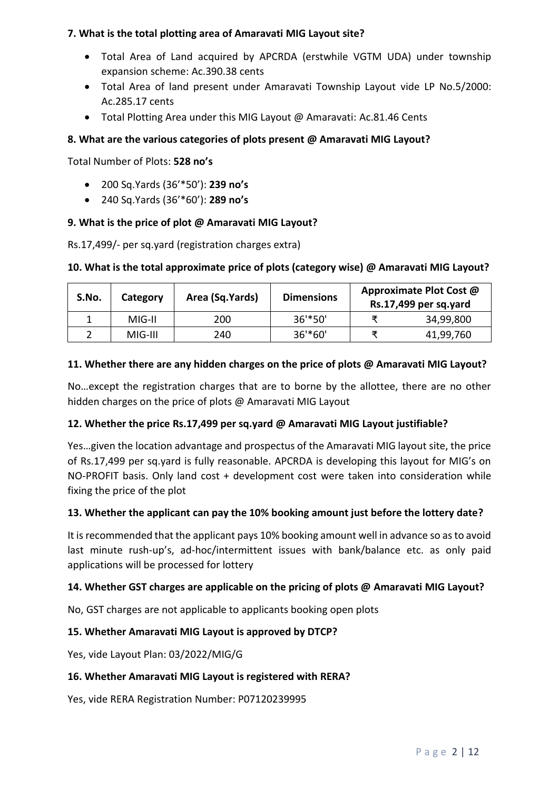### **7. What is the total plotting area of Amaravati MIG Layout site?**

- Total Area of Land acquired by APCRDA (erstwhile VGTM UDA) under township expansion scheme: Ac.390.38 cents
- Total Area of land present under Amaravati Township Layout vide LP No.5/2000: Ac.285.17 cents
- Total Plotting Area under this MIG Layout @ Amaravati: Ac.81.46 Cents

## **8. What are the various categories of plots present @ Amaravati MIG Layout?**

Total Number of Plots: **528 no's**

- 200 Sq.Yards (36'\*50'): **239 no's**
- 240 Sq.Yards (36'\*60'): **289 no's**

## **9. What is the price of plot @ Amaravati MIG Layout?**

Rs.17,499/- per sq.yard (registration charges extra)

## **10. What is the total approximate price of plots (category wise) @ Amaravati MIG Layout?**

| S.No. | Category | Area (Sq.Yards) | <b>Dimensions</b> | Approximate Plot Cost @<br>Rs.17,499 per sq.yard |           |
|-------|----------|-----------------|-------------------|--------------------------------------------------|-----------|
|       | MIG-II   | 200             | $36'$ *50'        |                                                  | 34,99,800 |
|       | MIG-III  | 240             | $36'$ *60'        |                                                  | 41,99,760 |

## **11. Whether there are any hidden charges on the price of plots @ Amaravati MIG Layout?**

No…except the registration charges that are to borne by the allottee, there are no other hidden charges on the price of plots @ Amaravati MIG Layout

### **12. Whether the price Rs.17,499 per sq.yard @ Amaravati MIG Layout justifiable?**

Yes…given the location advantage and prospectus of the Amaravati MIG layout site, the price of Rs.17,499 per sq.yard is fully reasonable. APCRDA is developing this layout for MIG's on NO-PROFIT basis. Only land cost + development cost were taken into consideration while fixing the price of the plot

### **13. Whether the applicant can pay the 10% booking amount just before the lottery date?**

It is recommended that the applicant pays 10% booking amount well in advance so as to avoid last minute rush-up's, ad-hoc/intermittent issues with bank/balance etc. as only paid applications will be processed for lottery

# **14. Whether GST charges are applicable on the pricing of plots @ Amaravati MIG Layout?**

No, GST charges are not applicable to applicants booking open plots

### **15. Whether Amaravati MIG Layout is approved by DTCP?**

Yes, vide Layout Plan: 03/2022/MIG/G

### **16. Whether Amaravati MIG Layout is registered with RERA?**

Yes, vide RERA Registration Number: P07120239995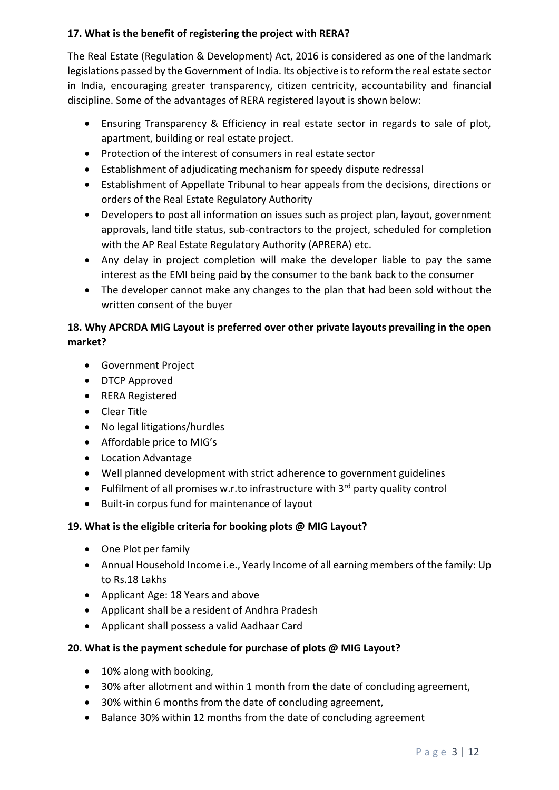# **17. What is the benefit of registering the project with RERA?**

The Real Estate (Regulation & Development) Act, 2016 is considered as one of the landmark legislations passed by the Government of India. Its objective is to reform the real estate sector in India, encouraging greater transparency, citizen centricity, accountability and financial discipline. Some of the advantages of RERA registered layout is shown below:

- Ensuring Transparency & Efficiency in real estate sector in regards to sale of plot, apartment, building or real estate project.
- Protection of the interest of consumers in real estate sector
- Establishment of adjudicating mechanism for speedy dispute redressal
- Establishment of Appellate Tribunal to hear appeals from the decisions, directions or orders of the Real Estate Regulatory Authority
- Developers to post all information on issues such as project plan, layout, government approvals, land title status, sub-contractors to the project, scheduled for completion with the AP Real Estate Regulatory Authority (APRERA) etc.
- Any delay in project completion will make the developer liable to pay the same interest as the EMI being paid by the consumer to the bank back to the consumer
- The developer cannot make any changes to the plan that had been sold without the written consent of the buyer

# **18. Why APCRDA MIG Layout is preferred over other private layouts prevailing in the open market?**

- Government Project
- DTCP Approved
- RERA Registered
- Clear Title
- No legal litigations/hurdles
- Affordable price to MIG's
- Location Advantage
- Well planned development with strict adherence to government guidelines
- Fulfilment of all promises w.r.to infrastructure with  $3<sup>rd</sup>$  party quality control
- Built-in corpus fund for maintenance of layout

# **19. What is the eligible criteria for booking plots @ MIG Layout?**

- One Plot per family
- Annual Household Income i.e., Yearly Income of all earning members of the family: Up to Rs.18 Lakhs
- Applicant Age: 18 Years and above
- Applicant shall be a resident of Andhra Pradesh
- Applicant shall possess a valid Aadhaar Card

# **20. What is the payment schedule for purchase of plots @ MIG Layout?**

- 10% along with booking,
- 30% after allotment and within 1 month from the date of concluding agreement,
- 30% within 6 months from the date of concluding agreement,
- Balance 30% within 12 months from the date of concluding agreement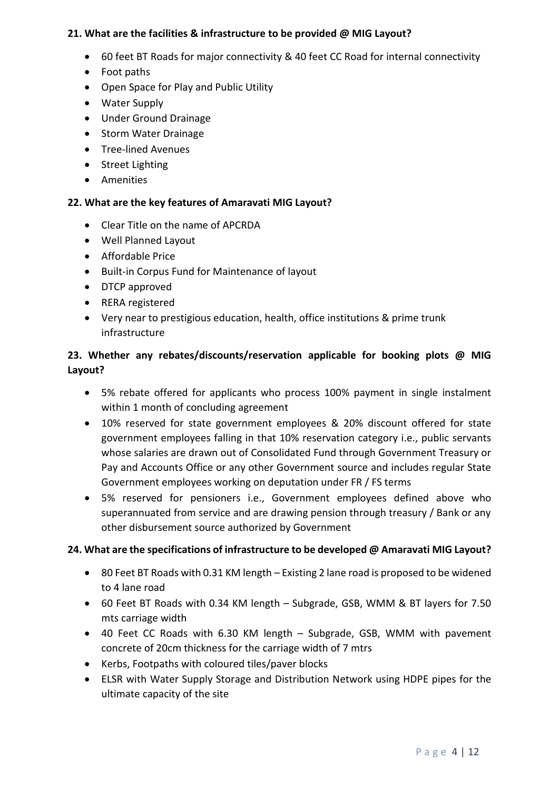### **21. What are the facilities & infrastructure to be provided @ MIG Layout?**

- 60 feet BT Roads for major connectivity & 40 feet CC Road for internal connectivity
- Foot paths
- Open Space for Play and Public Utility
- Water Supply
- Under Ground Drainage
- Storm Water Drainage
- **•** Tree-lined Avenues
- Street Lighting
- **•** Amenities

#### **22. What are the key features of Amaravati MIG Layout?**

- Clear Title on the name of APCRDA
- Well Planned Layout
- Affordable Price
- Built-in Corpus Fund for Maintenance of layout
- DTCP approved
- RERA registered
- Very near to prestigious education, health, office institutions & prime trunk infrastructure

## **23. Whether any rebates/discounts/reservation applicable for booking plots @ MIG Layout?**

- 5% rebate offered for applicants who process 100% payment in single instalment within 1 month of concluding agreement
- 10% reserved for state government employees & 20% discount offered for state government employees falling in that 10% reservation category i.e., public servants whose salaries are drawn out of Consolidated Fund through Government Treasury or Pay and Accounts Office or any other Government source and includes regular State Government employees working on deputation under FR / FS terms
- 5% reserved for pensioners i.e., Government employees defined above who superannuated from service and are drawing pension through treasury / Bank or any other disbursement source authorized by Government

### **24. What are the specifications of infrastructure to be developed @ Amaravati MIG Layout?**

- 80 Feet BT Roads with 0.31 KM length Existing 2 lane road is proposed to be widened to 4 lane road
- 60 Feet BT Roads with 0.34 KM length Subgrade, GSB, WMM & BT layers for 7.50 mts carriage width
- 40 Feet CC Roads with 6.30 KM length Subgrade, GSB, WMM with pavement concrete of 20cm thickness for the carriage width of 7 mtrs
- Kerbs, Footpaths with coloured tiles/paver blocks
- ELSR with Water Supply Storage and Distribution Network using HDPE pipes for the ultimate capacity of the site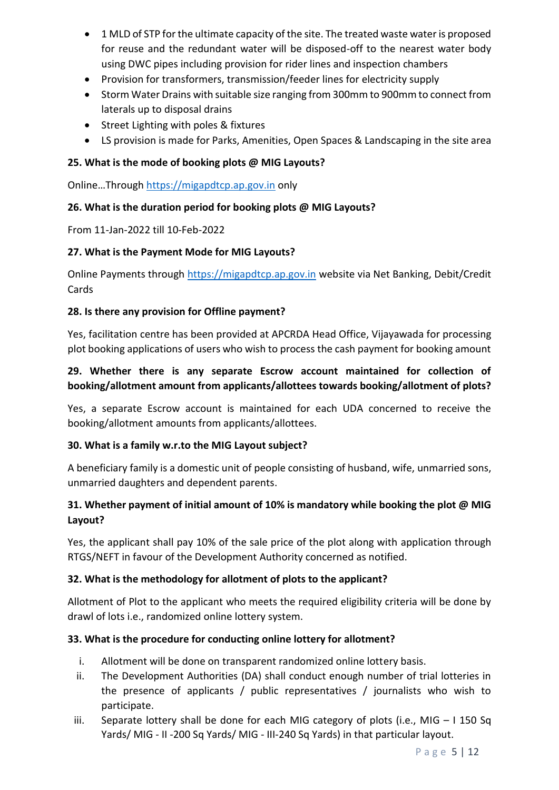- 1 MLD of STP for the ultimate capacity of the site. The treated waste water is proposed for reuse and the redundant water will be disposed-off to the nearest water body using DWC pipes including provision for rider lines and inspection chambers
- Provision for transformers, transmission/feeder lines for electricity supply
- Storm Water Drains with suitable size ranging from 300mm to 900mm to connect from laterals up to disposal drains
- Street Lighting with poles & fixtures
- LS provision is made for Parks, Amenities, Open Spaces & Landscaping in the site area

#### **25. What is the mode of booking plots @ MIG Layouts?**

Online…Through [https://migapdtcp.ap.gov.in](https://migapdtcp.ap.gov.in/) only

#### **26. What is the duration period for booking plots @ MIG Layouts?**

From 11-Jan-2022 till 10-Feb-2022

#### **27. What is the Payment Mode for MIG Layouts?**

Online Payments through [https://migapdtcp.ap.gov.in](https://migapdtcp.ap.gov.in/) website via Net Banking, Debit/Credit Cards

#### **28. Is there any provision for Offline payment?**

Yes, facilitation centre has been provided at APCRDA Head Office, Vijayawada for processing plot booking applications of users who wish to process the cash payment for booking amount

## **29. Whether there is any separate Escrow account maintained for collection of booking/allotment amount from applicants/allottees towards booking/allotment of plots?**

Yes, a separate Escrow account is maintained for each UDA concerned to receive the booking/allotment amounts from applicants/allottees.

### **30. What is a family w.r.to the MIG Layout subject?**

A beneficiary family is a domestic unit of people consisting of husband, wife, unmarried sons, unmarried daughters and dependent parents.

## **31. Whether payment of initial amount of 10% is mandatory while booking the plot @ MIG Layout?**

Yes, the applicant shall pay 10% of the sale price of the plot along with application through RTGS/NEFT in favour of the Development Authority concerned as notified.

### **32. What is the methodology for allotment of plots to the applicant?**

Allotment of Plot to the applicant who meets the required eligibility criteria will be done by drawl of lots i.e., randomized online lottery system.

### **33. What is the procedure for conducting online lottery for allotment?**

- i. Allotment will be done on transparent randomized online lottery basis.
- ii. The Development Authorities (DA) shall conduct enough number of trial lotteries in the presence of applicants / public representatives / journalists who wish to participate.
- iii. Separate lottery shall be done for each MIG category of plots (i.e., MIG I 150 Sq Yards/ MIG - II -200 Sq Yards/ MIG - III-240 Sq Yards) in that particular layout.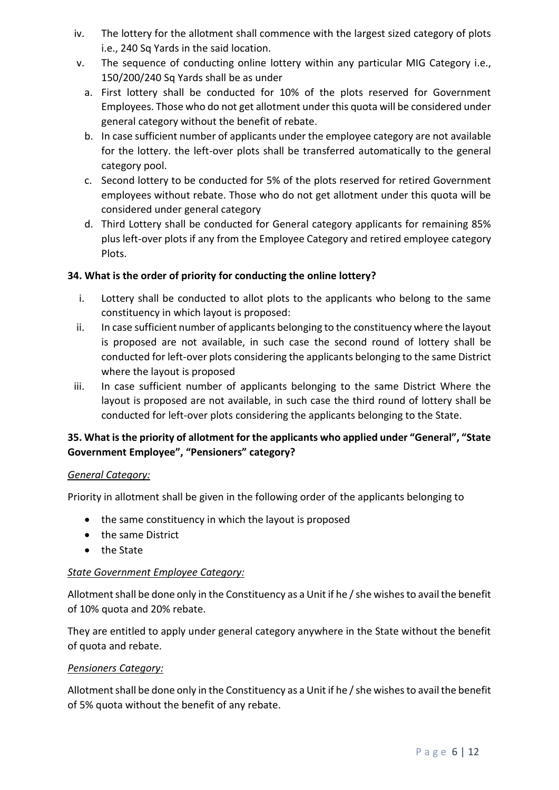- iv. The lottery for the allotment shall commence with the largest sized category of plots i.e., 240 Sq Yards in the said location.
- v. The sequence of conducting online lottery within any particular MIG Category i.e., 150/200/240 Sq Yards shall be as under
	- a. First lottery shall be conducted for 10% of the plots reserved for Government Employees. Those who do not get allotment under this quota will be considered under general category without the benefit of rebate.
	- b. In case sufficient number of applicants under the employee category are not available for the lottery. the left-over plots shall be transferred automatically to the general category pool.
	- c. Second lottery to be conducted for 5% of the plots reserved for retired Government employees without rebate. Those who do not get allotment under this quota will be considered under general category
	- d. Third Lottery shall be conducted for General category applicants for remaining 85% plus left-over plots if any from the Employee Category and retired employee category **Plots**

# **34. What is the order of priority for conducting the online lottery?**

- i. Lottery shall be conducted to allot plots to the applicants who belong to the same constituency in which layout is proposed:
- ii. In case sufficient number of applicants belonging to the constituency where the layout is proposed are not available, in such case the second round of lottery shall be conducted for left-over plots considering the applicants belonging to the same District where the layout is proposed
- iii. In case sufficient number of applicants belonging to the same District Where the layout is proposed are not available, in such case the third round of lottery shall be conducted for left-over plots considering the applicants belonging to the State.

# **35. What is the priority of allotment for the applicants who applied under "General", "State Government Employee", "Pensioners" category?**

### *General Category:*

Priority in allotment shall be given in the following order of the applicants belonging to

- the same constituency in which the layout is proposed
- the same District
- the State

### *State Government Employee Category:*

Allotment shall be done only in the Constituency as a Unit if he / she wishes to avail the benefit of 10% quota and 20% rebate.

They are entitled to apply under general category anywhere in the State without the benefit of quota and rebate.

### *Pensioners Category:*

Allotment shall be done only in the Constituency as a Unit if he / she wishes to avail the benefit of 5% quota without the benefit of any rebate.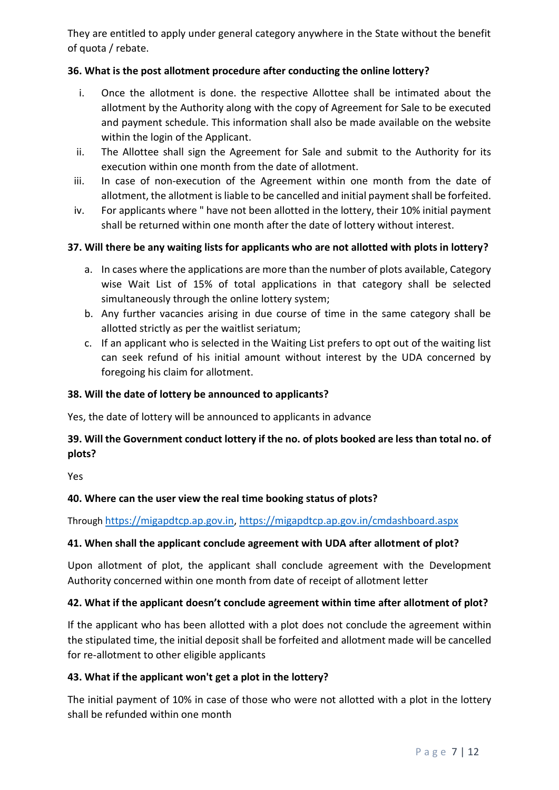They are entitled to apply under general category anywhere in the State without the benefit of quota / rebate.

### **36. What is the post allotment procedure after conducting the online lottery?**

- i. Once the allotment is done. the respective Allottee shall be intimated about the allotment by the Authority along with the copy of Agreement for Sale to be executed and payment schedule. This information shall also be made available on the website within the login of the Applicant.
- ii. The Allottee shall sign the Agreement for Sale and submit to the Authority for its execution within one month from the date of allotment.
- iii. In case of non-execution of the Agreement within one month from the date of allotment, the allotment is liable to be cancelled and initial payment shall be forfeited.
- iv. For applicants where " have not been allotted in the lottery, their 10% initial payment shall be returned within one month after the date of lottery without interest.

## **37. Will there be any waiting lists for applicants who are not allotted with plots in lottery?**

- a. In cases where the applications are more than the number of plots available, Category wise Wait List of 15% of total applications in that category shall be selected simultaneously through the online lottery system;
- b. Any further vacancies arising in due course of time in the same category shall be allotted strictly as per the waitlist seriatum;
- c. If an applicant who is selected in the Waiting List prefers to opt out of the waiting list can seek refund of his initial amount without interest by the UDA concerned by foregoing his claim for allotment.

### **38. Will the date of lottery be announced to applicants?**

Yes, the date of lottery will be announced to applicants in advance

# **39. Will the Government conduct lottery if the no. of plots booked are less than total no. of plots?**

Yes

### **40. Where can the user view the real time booking status of plots?**

Through [https://migapdtcp.ap.gov.in,](https://migapdtcp.ap.gov.in/)<https://migapdtcp.ap.gov.in/cmdashboard.aspx>

### **41. When shall the applicant conclude agreement with UDA after allotment of plot?**

Upon allotment of plot, the applicant shall conclude agreement with the Development Authority concerned within one month from date of receipt of allotment letter

### **42. What if the applicant doesn't conclude agreement within time after allotment of plot?**

If the applicant who has been allotted with a plot does not conclude the agreement within the stipulated time, the initial deposit shall be forfeited and allotment made will be cancelled for re-allotment to other eligible applicants

### **43. What if the applicant won't get a plot in the lottery?**

The initial payment of 10% in case of those who were not allotted with a plot in the lottery shall be refunded within one month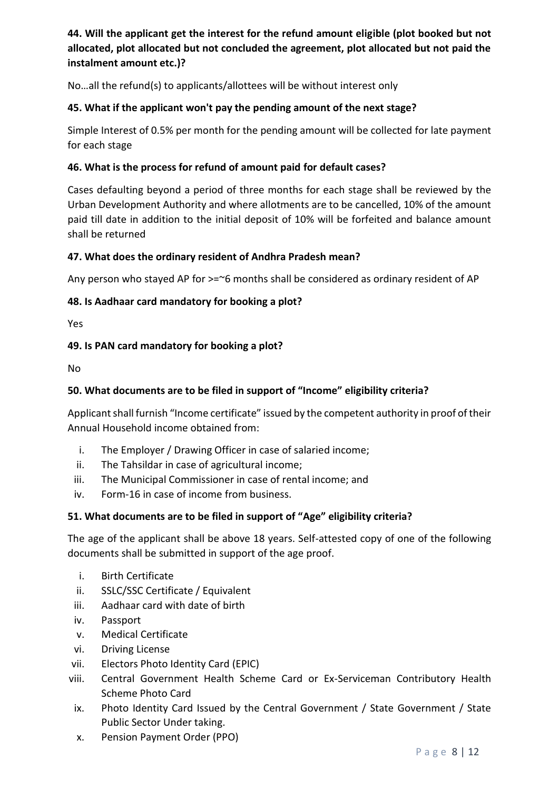# **44. Will the applicant get the interest for the refund amount eligible (plot booked but not allocated, plot allocated but not concluded the agreement, plot allocated but not paid the instalment amount etc.)?**

No…all the refund(s) to applicants/allottees will be without interest only

### **45. What if the applicant won't pay the pending amount of the next stage?**

Simple Interest of 0.5% per month for the pending amount will be collected for late payment for each stage

#### **46. What is the process for refund of amount paid for default cases?**

Cases defaulting beyond a period of three months for each stage shall be reviewed by the Urban Development Authority and where allotments are to be cancelled, 10% of the amount paid till date in addition to the initial deposit of 10% will be forfeited and balance amount shall be returned

#### **47. What does the ordinary resident of Andhra Pradesh mean?**

Any person who stayed AP for  $>=$  6 months shall be considered as ordinary resident of AP

#### **48. Is Aadhaar card mandatory for booking a plot?**

Yes

#### **49. Is PAN card mandatory for booking a plot?**

No

### **50. What documents are to be filed in support of "Income" eligibility criteria?**

Applicant shall furnish "Income certificate" issued by the competent authority in proof of their Annual Household income obtained from:

- i. The Employer / Drawing Officer in case of salaried income;
- ii. The Tahsildar in case of agricultural income;
- iii. The Municipal Commissioner in case of rental income; and
- iv. Form-16 in case of income from business.

### **51. What documents are to be filed in support of "Age" eligibility criteria?**

The age of the applicant shall be above 18 years. Self-attested copy of one of the following documents shall be submitted in support of the age proof.

- i. Birth Certificate
- ii. SSLC/SSC Certificate / Equivalent
- iii. Aadhaar card with date of birth
- iv. Passport
- v. Medical Certificate
- vi. Driving License
- vii. Electors Photo Identity Card (EPIC)
- viii. Central Government Health Scheme Card or Ex-Serviceman Contributory Health Scheme Photo Card
- ix. Photo Identity Card Issued by the Central Government / State Government / State Public Sector Under taking.
- x. Pension Payment Order (PPO)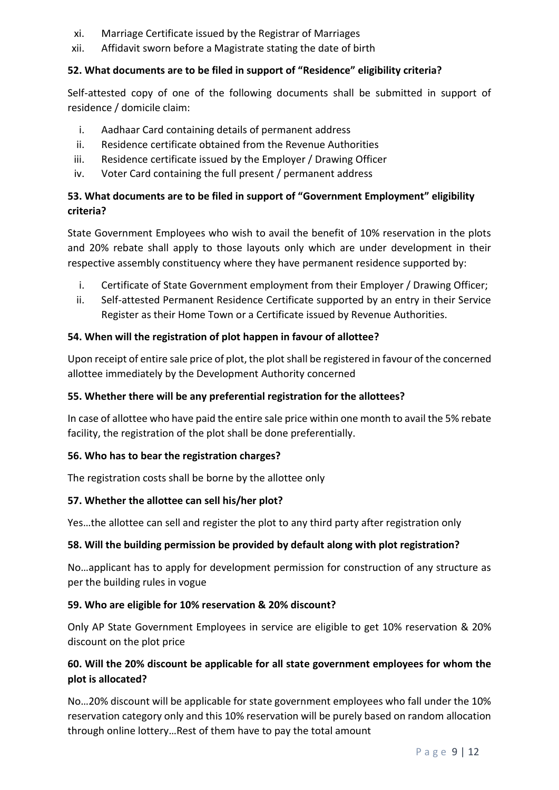- xi. Marriage Certificate issued by the Registrar of Marriages
- xii. Affidavit sworn before a Magistrate stating the date of birth

## **52. What documents are to be filed in support of "Residence" eligibility criteria?**

Self-attested copy of one of the following documents shall be submitted in support of residence / domicile claim:

- i. Aadhaar Card containing details of permanent address
- ii. Residence certificate obtained from the Revenue Authorities
- iii. Residence certificate issued by the Employer / Drawing Officer
- iv. Voter Card containing the full present / permanent address

# **53. What documents are to be filed in support of "Government Employment" eligibility criteria?**

State Government Employees who wish to avail the benefit of 10% reservation in the plots and 20% rebate shall apply to those layouts only which are under development in their respective assembly constituency where they have permanent residence supported by:

- i. Certificate of State Government employment from their Employer / Drawing Officer;
- ii. Self-attested Permanent Residence Certificate supported by an entry in their Service Register as their Home Town or a Certificate issued by Revenue Authorities.

## **54. When will the registration of plot happen in favour of allottee?**

Upon receipt of entire sale price of plot, the plot shall be registered in favour of the concerned allottee immediately by the Development Authority concerned

### **55. Whether there will be any preferential registration for the allottees?**

In case of allottee who have paid the entire sale price within one month to avail the 5% rebate facility, the registration of the plot shall be done preferentially.

### **56. Who has to bear the registration charges?**

The registration costs shall be borne by the allottee only

### **57. Whether the allottee can sell his/her plot?**

Yes…the allottee can sell and register the plot to any third party after registration only

### **58. Will the building permission be provided by default along with plot registration?**

No…applicant has to apply for development permission for construction of any structure as per the building rules in vogue

### **59. Who are eligible for 10% reservation & 20% discount?**

Only AP State Government Employees in service are eligible to get 10% reservation & 20% discount on the plot price

# **60. Will the 20% discount be applicable for all state government employees for whom the plot is allocated?**

No…20% discount will be applicable for state government employees who fall under the 10% reservation category only and this 10% reservation will be purely based on random allocation through online lottery…Rest of them have to pay the total amount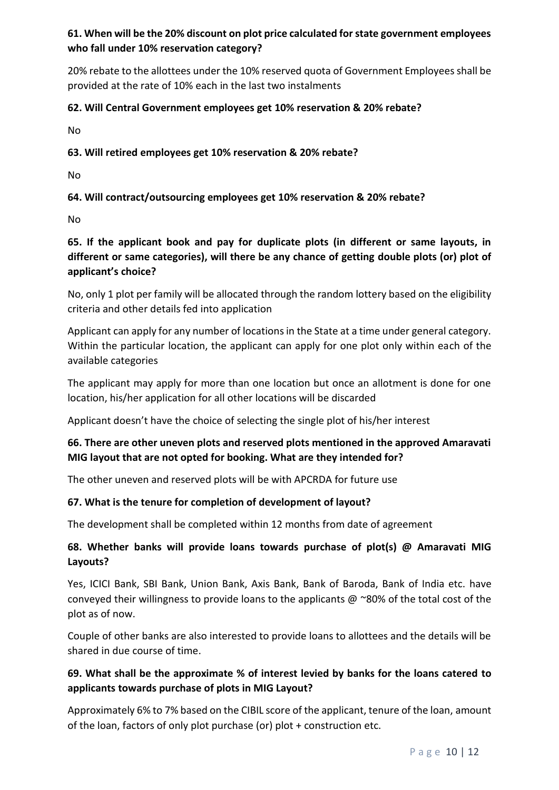# **61. When will be the 20% discount on plot price calculated for state government employees who fall under 10% reservation category?**

20% rebate to the allottees under the 10% reserved quota of Government Employees shall be provided at the rate of 10% each in the last two instalments

## **62. Will Central Government employees get 10% reservation & 20% rebate?**

No

### **63. Will retired employees get 10% reservation & 20% rebate?**

No

# **64. Will contract/outsourcing employees get 10% reservation & 20% rebate?**

No

# **65. If the applicant book and pay for duplicate plots (in different or same layouts, in different or same categories), will there be any chance of getting double plots (or) plot of applicant's choice?**

No, only 1 plot per family will be allocated through the random lottery based on the eligibility criteria and other details fed into application

Applicant can apply for any number of locations in the State at a time under general category. Within the particular location, the applicant can apply for one plot only within each of the available categories

The applicant may apply for more than one location but once an allotment is done for one location, his/her application for all other locations will be discarded

Applicant doesn't have the choice of selecting the single plot of his/her interest

# **66. There are other uneven plots and reserved plots mentioned in the approved Amaravati MIG layout that are not opted for booking. What are they intended for?**

The other uneven and reserved plots will be with APCRDA for future use

# **67. What is the tenure for completion of development of layout?**

The development shall be completed within 12 months from date of agreement

## **68. Whether banks will provide loans towards purchase of plot(s) @ Amaravati MIG Layouts?**

Yes, ICICI Bank, SBI Bank, Union Bank, Axis Bank, Bank of Baroda, Bank of India etc. have conveyed their willingness to provide loans to the applicants  $@$  ~80% of the total cost of the plot as of now.

Couple of other banks are also interested to provide loans to allottees and the details will be shared in due course of time.

# **69. What shall be the approximate % of interest levied by banks for the loans catered to applicants towards purchase of plots in MIG Layout?**

Approximately 6% to 7% based on the CIBIL score of the applicant, tenure of the loan, amount of the loan, factors of only plot purchase (or) plot + construction etc.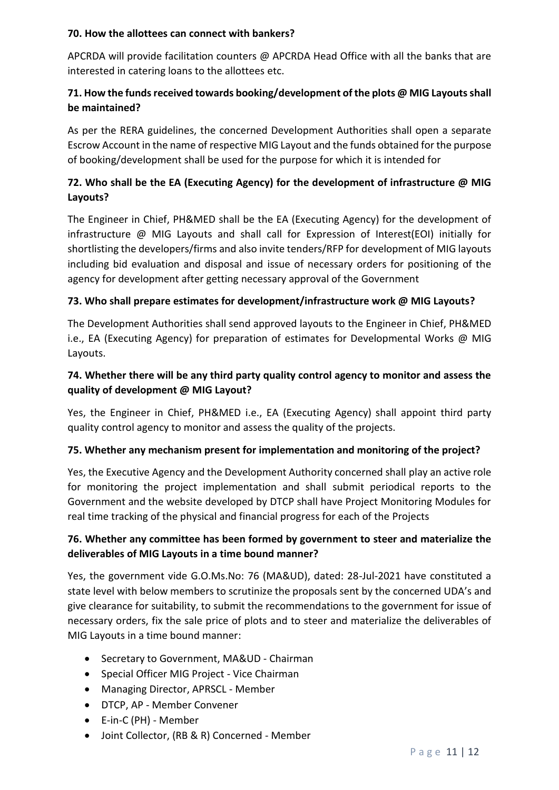#### **70. How the allottees can connect with bankers?**

APCRDA will provide facilitation counters @ APCRDA Head Office with all the banks that are interested in catering loans to the allottees etc.

# **71. How the funds received towards booking/development of the plots @ MIG Layouts shall be maintained?**

As per the RERA guidelines, the concerned Development Authorities shall open a separate Escrow Account in the name of respective MIG Layout and the funds obtained for the purpose of booking/development shall be used for the purpose for which it is intended for

# **72. Who shall be the EA (Executing Agency) for the development of infrastructure @ MIG Layouts?**

The Engineer in Chief, PH&MED shall be the EA (Executing Agency) for the development of infrastructure @ MIG Layouts and shall call for Expression of Interest(EOI) initially for shortlisting the developers/firms and also invite tenders/RFP for development of MIG layouts including bid evaluation and disposal and issue of necessary orders for positioning of the agency for development after getting necessary approval of the Government

## **73. Who shall prepare estimates for development/infrastructure work @ MIG Layouts?**

The Development Authorities shall send approved layouts to the Engineer in Chief, PH&MED i.e., EA (Executing Agency) for preparation of estimates for Developmental Works @ MIG Layouts.

# **74. Whether there will be any third party quality control agency to monitor and assess the quality of development @ MIG Layout?**

Yes, the Engineer in Chief, PH&MED i.e., EA (Executing Agency) shall appoint third party quality control agency to monitor and assess the quality of the projects.

### **75. Whether any mechanism present for implementation and monitoring of the project?**

Yes, the Executive Agency and the Development Authority concerned shall play an active role for monitoring the project implementation and shall submit periodical reports to the Government and the website developed by DTCP shall have Project Monitoring Modules for real time tracking of the physical and financial progress for each of the Projects

# **76. Whether any committee has been formed by government to steer and materialize the deliverables of MIG Layouts in a time bound manner?**

Yes, the government vide G.O.Ms.No: 76 (MA&UD), dated: 28-Jul-2021 have constituted a state level with below members to scrutinize the proposals sent by the concerned UDA's and give clearance for suitability, to submit the recommendations to the government for issue of necessary orders, fix the sale price of plots and to steer and materialize the deliverables of MIG Layouts in a time bound manner:

- Secretary to Government, MA&UD Chairman
- Special Officer MIG Project Vice Chairman
- Managing Director, APRSCL Member
- DTCP, AP Member Convener
- E-in-C (PH) Member
- Joint Collector, (RB & R) Concerned Member